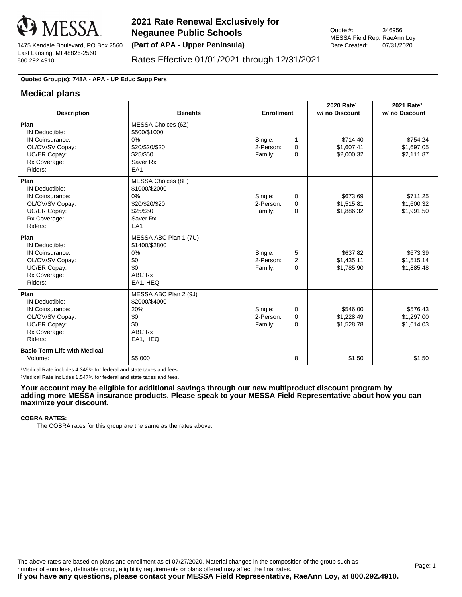

# Rates Effective 01/01/2021 through 12/31/2021

### **Quoted Group(s): 748A - APA - UP Educ Supp Pers**

# **Medical plans**

| <b>Description</b>                                                                                      | <b>Benefits</b>                                                                                         | <b>Enrollment</b>                                                   | 2020 Rate <sup>1</sup><br>w/ no Discount | 2021 Rate <sup>2</sup><br>w/ no Discount |
|---------------------------------------------------------------------------------------------------------|---------------------------------------------------------------------------------------------------------|---------------------------------------------------------------------|------------------------------------------|------------------------------------------|
| Plan<br>IN Deductible:<br>IN Coinsurance:<br>OL/OV/SV Copay:<br>UC/ER Copay:<br>Rx Coverage:<br>Riders: | MESSA Choices (6Z)<br>\$500/\$1000<br>0%<br>\$20/\$20/\$20<br>\$25/\$50<br>Saver Rx<br>EA <sub>1</sub>  | Single:<br>1<br>2-Person:<br>$\Omega$<br>Family:<br>$\Omega$        | \$714.40<br>\$1,607.41<br>\$2,000.32     | \$754.24<br>\$1,697.05<br>\$2,111.87     |
| Plan<br>IN Deductible:<br>IN Coinsurance:<br>OL/OV/SV Copay:<br>UC/ER Copay:<br>Rx Coverage:<br>Riders: | MESSA Choices (8F)<br>\$1000/\$2000<br>0%<br>\$20/\$20/\$20<br>\$25/\$50<br>Saver Rx<br>EA <sub>1</sub> | Single:<br>0<br>2-Person:<br>$\Omega$<br>Family:<br>$\Omega$        | \$673.69<br>\$1,515.81<br>\$1,886.32     | \$711.25<br>\$1,600.32<br>\$1,991.50     |
| Plan<br>IN Deductible:<br>IN Coinsurance:<br>OL/OV/SV Copay:<br>UC/ER Copay:<br>Rx Coverage:<br>Riders: | MESSA ABC Plan 1 (7U)<br>\$1400/\$2800<br>0%<br>\$0<br>\$0<br>ABC Rx<br>EA1, HEQ                        | Single:<br>5<br>$\overline{2}$<br>2-Person:<br>$\Omega$<br>Family:  | \$637.82<br>\$1,435.11<br>\$1,785.90     | \$673.39<br>\$1,515.14<br>\$1,885.48     |
| Plan<br>IN Deductible:<br>IN Coinsurance:<br>OL/OV/SV Copay:<br>UC/ER Copay:<br>Rx Coverage:<br>Riders: | MESSA ABC Plan 2 (9J)<br>\$2000/\$4000<br>20%<br>\$0<br>\$0<br>ABC Rx<br>EA1, HEQ                       | Single:<br>$\Omega$<br>2-Person:<br>$\Omega$<br>$\Omega$<br>Family: | \$546.00<br>\$1.228.49<br>\$1,528.78     | \$576.43<br>\$1,297.00<br>\$1,614.03     |
| <b>Basic Term Life with Medical</b><br>Volume:                                                          | \$5,000                                                                                                 | 8                                                                   | \$1.50                                   | \$1.50                                   |

1Medical Rate includes 4.349% for federal and state taxes and fees.

²Medical Rate includes 1.547% for federal and state taxes and fees.

**Your account may be eligible for additional savings through our new multiproduct discount program by adding more MESSA insurance products. Please speak to your MESSA Field Representative about how you can maximize your discount.**

#### **COBRA RATES:**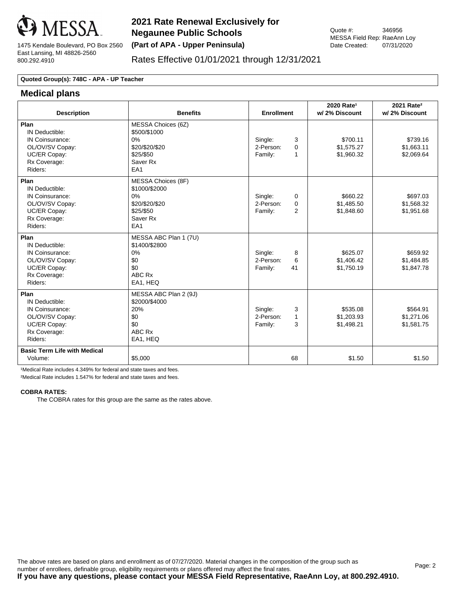

## Rates Effective 01/01/2021 through 12/31/2021

#### **Quoted Group(s): 748C - APA - UP Teacher**

### **Medical plans**

| <b>Description</b>                                                                                      | <b>Benefits</b>                                                                                         | <b>Enrollment</b>                                               | 2020 Rate <sup>1</sup><br>w/2% Discount | 2021 Rate <sup>2</sup><br>w/2% Discount |
|---------------------------------------------------------------------------------------------------------|---------------------------------------------------------------------------------------------------------|-----------------------------------------------------------------|-----------------------------------------|-----------------------------------------|
| Plan<br>IN Deductible:<br>IN Coinsurance:<br>OL/OV/SV Copay:<br>UC/ER Copay:<br>Rx Coverage:<br>Riders: | MESSA Choices (6Z)<br>\$500/\$1000<br>$0\%$<br>\$20/\$20/\$20<br>\$25/\$50<br>Saver Rx<br>EA1           | Single:<br>3<br>2-Person:<br>$\Omega$<br>Family:<br>1           | \$700.11<br>\$1,575.27<br>\$1,960.32    | \$739.16<br>\$1,663.11<br>\$2,069.64    |
| Plan<br>IN Deductible:<br>IN Coinsurance:<br>OL/OV/SV Copay:<br>UC/ER Copay:<br>Rx Coverage:<br>Riders: | MESSA Choices (8F)<br>\$1000/\$2000<br>0%<br>\$20/\$20/\$20<br>\$25/\$50<br>Saver Rx<br>EA <sub>1</sub> | Single:<br>$\Omega$<br>2-Person:<br>$\mathbf 0$<br>2<br>Family: | \$660.22<br>\$1,485.50<br>\$1,848.60    | \$697.03<br>\$1,568.32<br>\$1,951.68    |
| Plan<br>IN Deductible:<br>IN Coinsurance:<br>OL/OV/SV Copay:<br>UC/ER Copay:<br>Rx Coverage:<br>Riders: | MESSA ABC Plan 1 (7U)<br>\$1400/\$2800<br>0%<br>\$0<br>\$0<br>ABC Rx<br>EA1, HEQ                        | Single:<br>8<br>6<br>2-Person:<br>41<br>Family:                 | \$625.07<br>\$1,406.42<br>\$1,750.19    | \$659.92<br>\$1,484.85<br>\$1,847.78    |
| Plan<br>IN Deductible:<br>IN Coinsurance:<br>OL/OV/SV Copay:<br>UC/ER Copay:<br>Rx Coverage:<br>Riders: | MESSA ABC Plan 2 (9J)<br>\$2000/\$4000<br>20%<br>\$0<br>\$0<br>ABC Rx<br>EA1, HEQ                       | Single:<br>3<br>2-Person:<br>1<br>3<br>Family:                  | \$535.08<br>\$1,203.93<br>\$1,498.21    | \$564.91<br>\$1,271.06<br>\$1,581.75    |
| <b>Basic Term Life with Medical</b><br>Volume:                                                          | \$5,000                                                                                                 | 68                                                              | \$1.50                                  | \$1.50                                  |

1Medical Rate includes 4.349% for federal and state taxes and fees.

²Medical Rate includes 1.547% for federal and state taxes and fees.

#### **COBRA RATES:**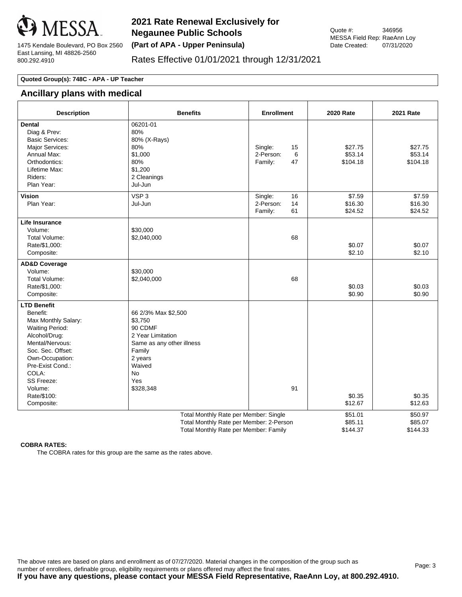

## Rates Effective 01/01/2021 through 12/31/2021

#### **Quoted Group(s): 748C - APA - UP Teacher**

## **Ancillary plans with medical**

| <b>Description</b>                                                                                                                                                                                                                                    | <b>Benefits</b>                                                                                                                                       | <b>Enrollment</b>                                 | <b>2020 Rate</b>               | <b>2021 Rate</b>               |
|-------------------------------------------------------------------------------------------------------------------------------------------------------------------------------------------------------------------------------------------------------|-------------------------------------------------------------------------------------------------------------------------------------------------------|---------------------------------------------------|--------------------------------|--------------------------------|
| <b>Dental</b><br>Diag & Prev:<br><b>Basic Services:</b><br>Major Services:<br>Annual Max:<br>Orthodontics:<br>Lifetime Max:<br>Riders:<br>Plan Year:                                                                                                  | 06201-01<br>80%<br>80% (X-Rays)<br>80%<br>\$1,000<br>80%<br>\$1,200<br>2 Cleanings<br>Jul-Jun                                                         | Single:<br>15<br>2-Person:<br>6<br>Family:<br>47  | \$27.75<br>\$53.14<br>\$104.18 | \$27.75<br>\$53.14<br>\$104.18 |
| Vision<br>Plan Year:                                                                                                                                                                                                                                  | VSP <sub>3</sub><br>Jul-Jun                                                                                                                           | Single:<br>16<br>2-Person:<br>14<br>61<br>Family: | \$7.59<br>\$16.30<br>\$24.52   | \$7.59<br>\$16.30<br>\$24.52   |
| <b>Life Insurance</b><br>Volume:<br>Total Volume:<br>Rate/\$1,000:<br>Composite:                                                                                                                                                                      | \$30,000<br>\$2,040,000                                                                                                                               | 68                                                | \$0.07<br>\$2.10               | \$0.07<br>\$2.10               |
| <b>AD&amp;D Coverage</b><br>Volume:<br>Total Volume:<br>Rate/\$1,000:<br>Composite:                                                                                                                                                                   | \$30,000<br>\$2,040,000                                                                                                                               | 68                                                | \$0.03<br>\$0.90               | \$0.03<br>\$0.90               |
| <b>LTD Benefit</b><br>Benefit:<br>Max Monthly Salary:<br><b>Waiting Period:</b><br>Alcohol/Drug:<br>Mental/Nervous:<br>Soc. Sec. Offset:<br>Own-Occupation:<br>Pre-Exist Cond.:<br>COLA:<br><b>SS Freeze:</b><br>Volume:<br>Rate/\$100:<br>Composite: | 66 2/3% Max \$2,500<br>\$3,750<br>90 CDMF<br>2 Year Limitation<br>Same as any other illness<br>Family<br>2 years<br>Waived<br>No.<br>Yes<br>\$328,348 | 91                                                | \$0.35<br>\$12.67              | \$0.35<br>\$12.63              |
| Total Monthly Rate per Member: Single<br>Total Monthly Rate per Member: 2-Person<br>Total Monthly Rate per Member: Family                                                                                                                             |                                                                                                                                                       |                                                   | \$51.01<br>\$85.11<br>\$144.37 | \$50.97<br>\$85.07<br>\$144.33 |

#### **COBRA RATES:**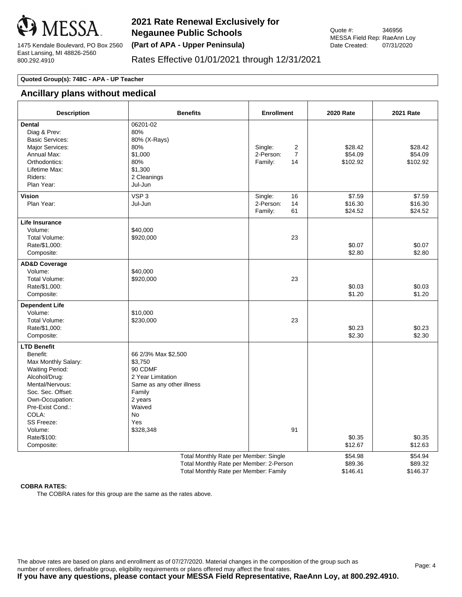

## Rates Effective 01/01/2021 through 12/31/2021

#### **Quoted Group(s): 748C - APA - UP Teacher**

# **Ancillary plans without medical**

| <b>Description</b>                                                                                                                                                                                                                             | <b>Benefits</b>                                                                                                                                             | <b>Enrollment</b>                                            | <b>2020 Rate</b>               | <b>2021 Rate</b>               |
|------------------------------------------------------------------------------------------------------------------------------------------------------------------------------------------------------------------------------------------------|-------------------------------------------------------------------------------------------------------------------------------------------------------------|--------------------------------------------------------------|--------------------------------|--------------------------------|
| Dental<br>Diag & Prev:<br><b>Basic Services:</b><br>Major Services:<br>Annual Max:<br>Orthodontics:<br>Lifetime Max:<br>Riders:<br>Plan Year:                                                                                                  | 06201-02<br>80%<br>80% (X-Rays)<br>80%<br>\$1,000<br>80%<br>\$1,300<br>2 Cleanings<br>Jul-Jun                                                               | Single:<br>2<br>2-Person:<br>$\overline{7}$<br>Family:<br>14 | \$28.42<br>\$54.09<br>\$102.92 | \$28.42<br>\$54.09<br>\$102.92 |
| <b>Vision</b><br>Plan Year:                                                                                                                                                                                                                    | VSP <sub>3</sub><br>Jul-Jun                                                                                                                                 | Single:<br>16<br>2-Person:<br>14<br>Family:<br>61            | \$7.59<br>\$16.30<br>\$24.52   | \$7.59<br>\$16.30<br>\$24.52   |
| <b>Life Insurance</b><br>Volume:<br>Total Volume:<br>Rate/\$1,000:<br>Composite:                                                                                                                                                               | \$40,000<br>\$920,000                                                                                                                                       | 23                                                           | \$0.07<br>\$2.80               | \$0.07<br>\$2.80               |
| <b>AD&amp;D Coverage</b><br>Volume:<br>Total Volume:<br>Rate/\$1,000:<br>Composite:                                                                                                                                                            | \$40,000<br>\$920,000                                                                                                                                       | 23                                                           | \$0.03<br>\$1.20               | \$0.03<br>\$1.20               |
| <b>Dependent Life</b><br>Volume:<br>Total Volume:<br>Rate/\$1,000:<br>Composite:                                                                                                                                                               | \$10,000<br>\$230,000                                                                                                                                       | 23                                                           | \$0.23<br>\$2.30               | \$0.23<br>\$2.30               |
| <b>LTD Benefit</b><br>Benefit:<br>Max Monthly Salary:<br><b>Waiting Period:</b><br>Alcohol/Drug:<br>Mental/Nervous:<br>Soc. Sec. Offset:<br>Own-Occupation:<br>Pre-Exist Cond.:<br>COLA:<br>SS Freeze:<br>Volume:<br>Rate/\$100:<br>Composite: | 66 2/3% Max \$2,500<br>\$3,750<br>90 CDMF<br>2 Year Limitation<br>Same as any other illness<br>Family<br>2 years<br>Waived<br><b>No</b><br>Yes<br>\$328,348 | 91                                                           | \$0.35<br>\$12.67              | \$0.35<br>\$12.63              |
| Total Monthly Rate per Member: Single<br>Total Monthly Rate per Member: 2-Person<br>Total Monthly Rate per Member: Family                                                                                                                      |                                                                                                                                                             |                                                              | \$54.98<br>\$89.36<br>\$146.41 | \$54.94<br>\$89.32<br>\$146.37 |

#### **COBRA RATES:**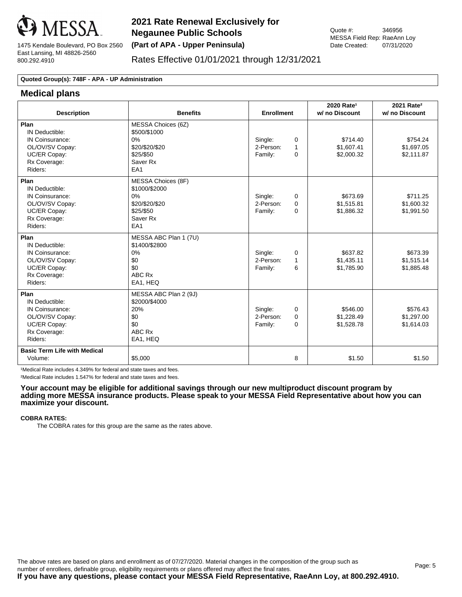

## Rates Effective 01/01/2021 through 12/31/2021

#### **Quoted Group(s): 748F - APA - UP Administration**

### **Medical plans**

| <b>Description</b>                                                                                      | <b>Benefits</b>                                                                             | <b>Enrollment</b>                                                   | 2020 Rate <sup>1</sup><br>w/ no Discount | 2021 Rate <sup>2</sup><br>w/ no Discount |
|---------------------------------------------------------------------------------------------------------|---------------------------------------------------------------------------------------------|---------------------------------------------------------------------|------------------------------------------|------------------------------------------|
| Plan<br>IN Deductible:<br>IN Coinsurance:<br>OL/OV/SV Copay:<br>UC/ER Copay:<br>Rx Coverage:<br>Riders: | MESSA Choices (6Z)<br>\$500/\$1000<br>0%<br>\$20/\$20/\$20<br>\$25/\$50<br>Saver Rx<br>EA1  | Single:<br>$\Omega$<br>2-Person:<br>1<br>Family:<br>$\Omega$        | \$714.40<br>\$1,607.41<br>\$2,000.32     | \$754.24<br>\$1,697.05<br>\$2,111.87     |
| Plan<br>IN Deductible:<br>IN Coinsurance:<br>OL/OV/SV Copay:<br>UC/ER Copay:<br>Rx Coverage:<br>Riders: | MESSA Choices (8F)<br>\$1000/\$2000<br>0%<br>\$20/\$20/\$20<br>\$25/\$50<br>Saver Rx<br>EA1 | Single:<br>0<br>2-Person:<br>$\Omega$<br>Family:<br>$\Omega$        | \$673.69<br>\$1,515.81<br>\$1,886.32     | \$711.25<br>\$1,600.32<br>\$1,991.50     |
| Plan<br>IN Deductible:<br>IN Coinsurance:<br>OL/OV/SV Copay:<br>UC/ER Copay:<br>Rx Coverage:<br>Riders: | MESSA ABC Plan 1 (7U)<br>\$1400/\$2800<br>0%<br>\$0<br>\$0<br>ABC Rx<br>EA1, HEQ            | Single:<br>0<br>2-Person:<br>1<br>Family:<br>6                      | \$637.82<br>\$1,435.11<br>\$1.785.90     | \$673.39<br>\$1,515.14<br>\$1.885.48     |
| Plan<br>IN Deductible:<br>IN Coinsurance:<br>OL/OV/SV Copay:<br>UC/ER Copay:<br>Rx Coverage:<br>Riders: | MESSA ABC Plan 2 (9J)<br>\$2000/\$4000<br>20%<br>\$0<br>\$0<br>ABC Rx<br>EA1, HEQ           | Single:<br>$\Omega$<br>2-Person:<br>$\Omega$<br>Family:<br>$\Omega$ | \$546.00<br>\$1,228.49<br>\$1,528.78     | \$576.43<br>\$1,297.00<br>\$1,614.03     |
| <b>Basic Term Life with Medical</b><br>Volume:                                                          | \$5,000                                                                                     | 8                                                                   | \$1.50                                   | \$1.50                                   |

1Medical Rate includes 4.349% for federal and state taxes and fees.

²Medical Rate includes 1.547% for federal and state taxes and fees.

#### **Your account may be eligible for additional savings through our new multiproduct discount program by adding more MESSA insurance products. Please speak to your MESSA Field Representative about how you can maximize your discount.**

#### **COBRA RATES:**